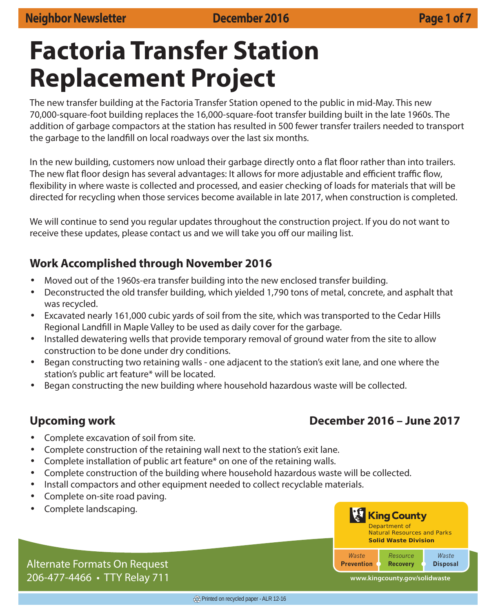# **Factoria Transfer Station Replacement Project**

The new transfer building at the Factoria Transfer Station opened to the public in mid-May. This new 70,000-square-foot building replaces the 16,000-square-foot transfer building built in the late 1960s. The addition of garbage compactors at the station has resulted in 500 fewer transfer trailers needed to transport the garbage to the landfill on local roadways over the last six months.

In the new building, customers now unload their garbage directly onto a flat floor rather than into trailers. The new flat floor design has several advantages: It allows for more adjustable and efficient traffic flow, flexibility in where waste is collected and processed, and easier checking of loads for materials that will be directed for recycling when those services become available in late 2017, when construction is completed.

We will continue to send you regular updates throughout the construction project. If you do not want to receive these updates, please contact us and we will take you off our mailing list.

# **Work Accomplished through November 2016**

- Moved out of the 1960s-era transfer building into the new enclosed transfer building.
- Deconstructed the old transfer building, which yielded 1,790 tons of metal, concrete, and asphalt that was recycled.
- Excavated nearly 161,000 cubic yards of soil from the site, which was transported to the Cedar Hills Regional Landfill in Maple Valley to be used as daily cover for the garbage.
- Installed dewatering wells that provide temporary removal of ground water from the site to allow construction to be done under dry conditions.
- Began constructing two retaining walls one adjacent to the station's exit lane, and one where the station's public art feature\* will be located.
- Began constructing the new building where household hazardous waste will be collected.

# **Upcoming work December 2016 – June 2017**

- Complete excavation of soil from site.
- Complete construction of the retaining wall next to the station's exit lane.
- Complete installation of public art feature\* on one of the retaining walls.
- Complete construction of the building where household hazardous waste will be collected.
- Install compactors and other equipment needed to collect recyclable materials.
- Complete on-site road paving.
- Complete landscaping.



**www.kingcounty.gov/solidwaste**

Alternate Formats On Request 206-477-4466 • TTY Relay 711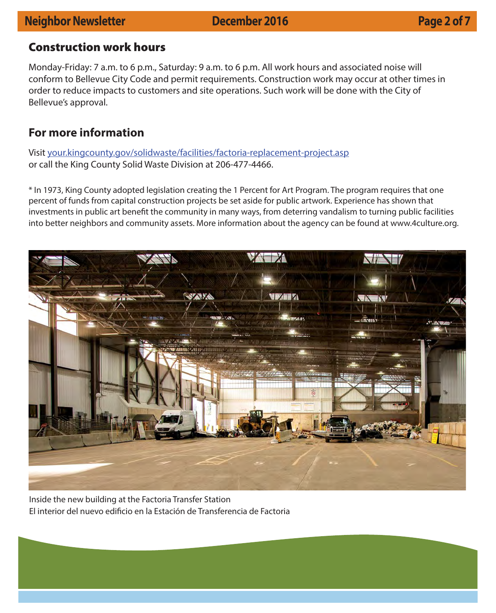# **Neighbor Newsletter December 2016 Page 2 of 7**

### **Construction work hours**

Monday-Friday: 7 a.m. to 6 p.m., Saturday: 9 a.m. to 6 p.m. All work hours and associated noise will conform to Bellevue City Code and permit requirements. Construction work may occur at other times in order to reduce impacts to customers and site operations. Such work will be done with the City of Bellevue's approval.

## **For more information**

Visit your.kingcounty.gov/solidwaste/facilities/factoria-replacement-project.asp or call the King County Solid Waste Division at 206-477-4466.

\* In 1973, King County adopted legislation creating the 1 Percent for Art Program. The program requires that one percent of funds from capital construction projects be set aside for public artwork. Experience has shown that investments in public art benefit the community in many ways, from deterring vandalism to turning public facilities into better neighbors and community assets. More information about the agency can be found at www.4culture.org.



Inside the new building at the Factoria Transfer Station El interior del nuevo edificio en la Estación de Transferencia de Factoria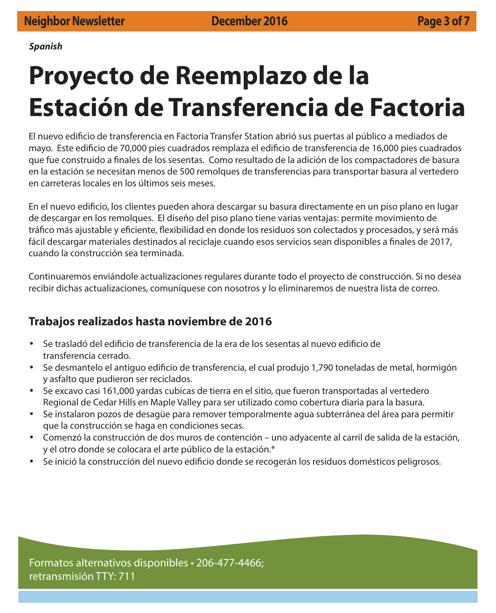**Spanish**

# **Proyecto de Reemplazo de la Estación de Transferencia de Factoria**

El nuevo edifi cio de transferencia en Factoria Transfer Station abrió sus puertas al público a mediados de mayo. Este edificio de 70,000 pies cuadrados remplaza el edificio de transferencia de 16,000 pies cuadrados que fue construido a finales de los sesentas. Como resultado de la adición de los compactadores de basura en la estación se necesitan menos de 500 remolques de transferencias para transportar basura al vertedero en carreteras locales en los últimos seis meses.

En el nuevo edificio, los clientes pueden ahora descargar su basura directamente en un piso plano en lugar de descargar en los remolques. El diseño del piso plano tiene varias ventajas: permite movimiento de tráfico más ajustable y eficiente, flexibilidad en donde los residuos son colectados y procesados, y será más fácil descargar materiales destinados al reciclaje cuando esos servicios sean disponibles a finales de 2017, cuando la construcción sea terminada.

Continuaremos enviándole actualizaciones regulares durante todo el proyecto de construcción. Si no desea recibir dichas actualizaciones, comuníquese con nosotros y lo eliminaremos de nuestra lista de correo.

# **Trabajos realizados hasta noviembre de 2016**

- Se trasladó del edificio de transferencia de la era de los sesentas al nuevo edificio de transferencia cerrado.
- Se desmantelo el antiguo edificio de transferencia, el cual produjo 1,790 toneladas de metal, hormigón y asfalto que pudieron ser reciclados.
- Se excavo casi 161,000 yardas cubicas de tierra en el sitio, que fueron transportadas al vertedero Regional de Cedar Hills en Maple Valley para ser utilizado como cobertura diaria para la basura.
- Se instalaron pozos de desagüe para remover temporalmente agua subterránea del área para permitir que la construcción se haga en condiciones secas.
- Comenzó la construcción de dos muros de contención uno adyacente al carril de salida de la estación, y el otro donde se colocara el arte público de la estación.\*
- Se inició la construcción del nuevo edificio donde se recogerán los residuos domésticos peligrosos.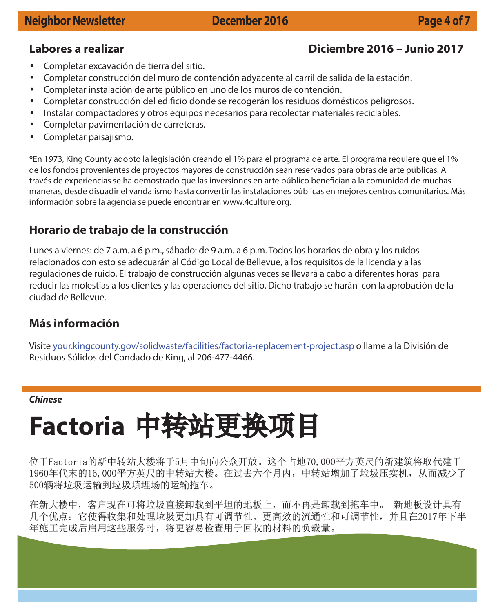# **Labores a realizar Diciembre 2016 – Junio 2017**

- Completar excavación de tierra del sitio.
- Completar construcción del muro de contención adyacente al carril de salida de la estación.
- Completar instalación de arte público en uno de los muros de contención.
- Completar construcción del edificio donde se recogerán los residuos domésticos peligrosos.
- Instalar compactadores y otros equipos necesarios para recolectar materiales reciclables.
- Completar pavimentación de carreteras.
- Completar paisajismo.

\*En 1973, King County adopto la legislación creando el 1% para el programa de arte. El programa requiere que el 1% de los fondos provenientes de proyectos mayores de construcción sean reservados para obras de arte públicas. A través de experiencias se ha demostrado que las inversiones en arte público benefician a la comunidad de muchas maneras, desde disuadir el vandalismo hasta convertir las instalaciones públicas en mejores centros comunitarios. Más información sobre la agencia se puede encontrar en www.4culture.org.

# **Horario de trabajo de la construcción**

Lunes a viernes: de 7 a.m. a 6 p.m., sábado: de 9 a.m. a 6 p.m. Todos los horarios de obra y los ruidos relacionados con esto se adecuarán al Código Local de Bellevue, a los requisitos de la licencia y a las regulaciones de ruido. El trabajo de construcción algunas veces se llevará a cabo a diferentes horas para reducir las molestias a los clientes y las operaciones del sitio. Dicho trabajo se harán con la aprobación de la ciudad de Bellevue.

# **Más información**

Visite your.kingcounty.gov/solidwaste/facilities/factoria-replacement-project.asp o llame a la División de Residuos Sólidos del Condado de King, al 206-477-4466.

### **Chinese**

# **Factoria** 中转站更换项目

位于Factoria的新中转站大楼将于5月中旬向公众开放。这个占地70,000平方英尺的新建筑将取代建于 1960年代末的16,000平方英尺的中转站大楼。在过去六个月内,中转站增加了垃圾压实机,从而减少了 500辆将垃圾运输到垃圾填埋场的运输拖车。

在新大楼中,客户现在可将垃圾直接卸载到平坦的地板上,而不再是卸载到拖车中。 新地板设计具有 几个优点:它使得收集和处理垃圾更加具有可调节性、更高效的流通性和可调节性,并且在2017年下半 年施工完成后启用这些服务时,将更容易检查用于回收的材料的负载量。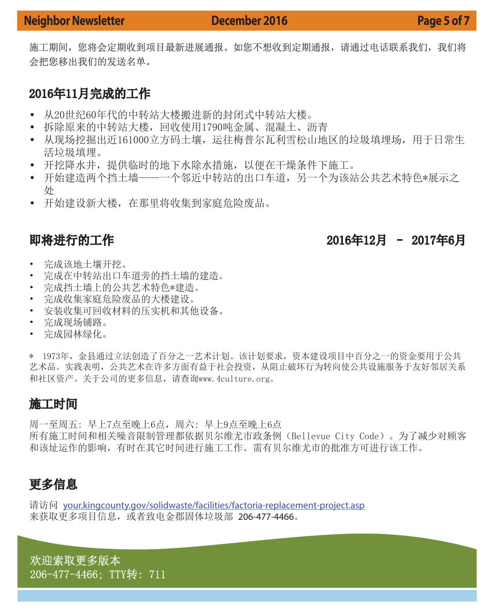施工期间,您将会定期收到项目最新进展通报。如您不想收到定期通报,请通过电话联系我们,我们将 会把您移出我们的发送名单。

# 2016年11月完成的工作

- 从20世纪60年代的中转站大楼搬进新的封闭式中转站大楼。
- 拆除原来的中转站大楼,回收使用1790吨金属、混凝土、沥青
- 从现场挖掘出近161000立方码土壤,运往梅普尔瓦利雪松山地区的垃圾填埋场,用于日常生 活垃圾填埋。
- 开挖降水井, 提供临时的地下水除水措施, 以便在干燥条件下施工。
- 开始建造两个挡土墙——一个邻近中转站的出口车道,另一个为该站公共艺术特色\*展示之 处
- 开始建设新大楼,在那里将收集到家庭危险废品。

即将进行的工作 2016年12月 - 2016年12月 2017年6月

- 完成该地土壤开挖。
- 完成在中转站出口车道旁的挡土墙的建造。
- 完成挡土墙上的公共艺术特色\*建造。
- 完成收集家庭危险废品的大楼建设。
- 安装收集可回收材料的压实机和其他设备。
- 完成现场铺路。
- 完成园林绿化。

\* 1973年,金县通过立法创造了百分之一艺术计划。该计划要求,资本建设项目中百分之一的资金要用于公共 艺术品。实践表明,公共艺术在许多方面有益于社会投资,从阻止破坏行为转向使公共设施服务于友好邻居关系 和社区资产。关于公司的更多信息,请查询www.4culture.org。

# 施工时间

周一至周五: 早上7点至晚上6点,周六: 早上9点至晚上6点 所有施工时间和相关噪音限制管理都依据贝尔维尤市政条例(Bellevue City Code)。为了减少对顾客 和该址运作的影响,有时在其它时间进行施工工作。需有贝尔维尤市的批准方可进行该工作。

# 更多信息

请访问 your.kingcounty.gov/solidwaste/facilities/factoria-replacement-project.asp 来获取更多项目信息,或者致电金郡固体垃圾部 206-477-4466。

欢迎索取更多版本 206-477-4466; TTY转: 711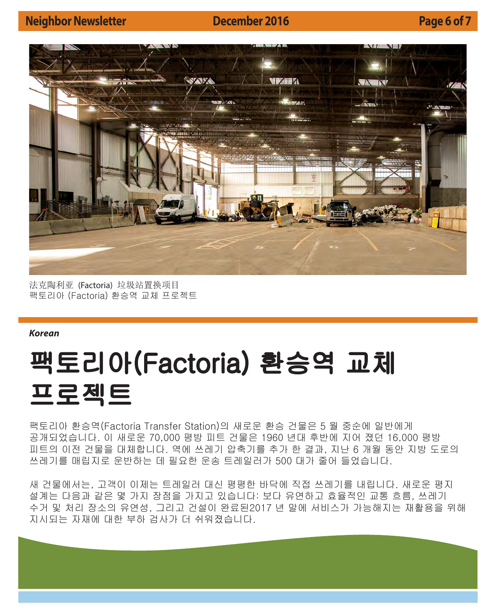



法克陶利亚 (Factoria) 垃圾站置换项目 팩토리아 (Factoria) 환승역 교체 프로젝트

**Korean**

# 팩토리아(Factoria) 환승역 교체 프로젝트

팩토리아 환승역(Factoria Transfer Station)의 새로운 환승 건물은 5 월 중순에 일반에게 공개되었습니다. 이 새로운 70,000 평방 피트 건물은 1960 년대 후반에 지어 졌던 16,000 평방 피트의 이전 건물을 대체합니다. 역에 쓰레기 압축기를 추가 한 결과, 지난 6 개월 동안 지방 도로의 쓰레기를 매립지로 운반하는 데 필요한 운송 트레일러가 500 대가 줄어 들었습니다.

새 건물에서는, 고객이 이제는 트레일러 대신 평평한 바닥에 직접 쓰레기를 내립니다. 새로운 평지 설계는 다음과 같은 몇 가지 장점을 가지고 있습니다: 보다 유연하고 효율적인 교통 흐름, 쓰레기 수거 및 처리 장소의 유연성, 그리고 건설이 완료된2017 년 말에 서비스가 가능해지는 재활용을 위해 지시되는 자재에 대한 부하 검사가 더 쉬워졌습니다.